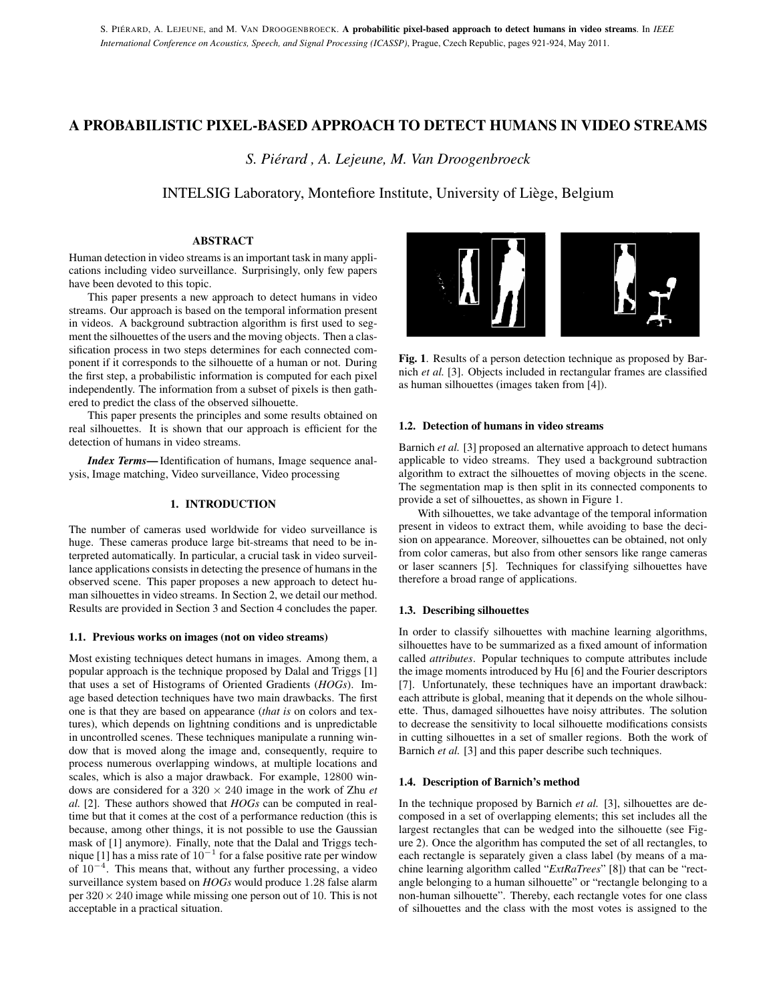# A PROBABILISTIC PIXEL-BASED APPROACH TO DETECT HUMANS IN VIDEO STREAMS

*S. Piérard , A. Lejeune, M. Van Droogenbroeck*

INTELSIG Laboratory, Montefiore Institute, University of Liège, Belgium

# ABSTRACT

Human detection in video streams is an important task in many applications including video surveillance. Surprisingly, only few papers have been devoted to this topic.

This paper presents a new approach to detect humans in video streams. Our approach is based on the temporal information present in videos. A background subtraction algorithm is first used to segment the silhouettes of the users and the moving objects. Then a classification process in two steps determines for each connected component if it corresponds to the silhouette of a human or not. During the first step, a probabilistic information is computed for each pixel independently. The information from a subset of pixels is then gathered to predict the class of the observed silhouette.

This paper presents the principles and some results obtained on real silhouettes. It is shown that our approach is efficient for the detection of humans in video streams.

*Index Terms*— Identification of humans, Image sequence analysis, Image matching, Video surveillance, Video processing

# 1. INTRODUCTION

The number of cameras used worldwide for video surveillance is huge. These cameras produce large bit-streams that need to be interpreted automatically. In particular, a crucial task in video surveillance applications consists in detecting the presence of humans in the observed scene. This paper proposes a new approach to detect human silhouettes in video streams. In Section 2, we detail our method. Results are provided in Section 3 and Section 4 concludes the paper.

### 1.1. Previous works on images (not on video streams)

Most existing techniques detect humans in images. Among them, a popular approach is the technique proposed by Dalal and Triggs [1] that uses a set of Histograms of Oriented Gradients (*HOGs*). Image based detection techniques have two main drawbacks. The first one is that they are based on appearance (*that is* on colors and textures), which depends on lightning conditions and is unpredictable in uncontrolled scenes. These techniques manipulate a running window that is moved along the image and, consequently, require to process numerous overlapping windows, at multiple locations and scales, which is also a major drawback. For example, 12800 windows are considered for a 320 × 240 image in the work of Zhu *et al.* [2]. These authors showed that *HOGs* can be computed in realtime but that it comes at the cost of a performance reduction (this is because, among other things, it is not possible to use the Gaussian mask of [1] anymore). Finally, note that the Dalal and Triggs technique [1] has a miss rate of  $10^{-1}$  for a false positive rate per window of 10<sup>−</sup><sup>4</sup> . This means that, without any further processing, a video surveillance system based on *HOGs* would produce 1.28 false alarm per  $320 \times 240$  image while missing one person out of 10. This is not acceptable in a practical situation.



Fig. 1. Results of a person detection technique as proposed by Barnich *et al.* [3]. Objects included in rectangular frames are classified as human silhouettes (images taken from [4]).

### 1.2. Detection of humans in video streams

Barnich *et al.* [3] proposed an alternative approach to detect humans applicable to video streams. They used a background subtraction algorithm to extract the silhouettes of moving objects in the scene. The segmentation map is then split in its connected components to provide a set of silhouettes, as shown in Figure 1.

With silhouettes, we take advantage of the temporal information present in videos to extract them, while avoiding to base the decision on appearance. Moreover, silhouettes can be obtained, not only from color cameras, but also from other sensors like range cameras or laser scanners [5]. Techniques for classifying silhouettes have therefore a broad range of applications.

# 1.3. Describing silhouettes

In order to classify silhouettes with machine learning algorithms, silhouettes have to be summarized as a fixed amount of information called *attributes*. Popular techniques to compute attributes include the image moments introduced by Hu [6] and the Fourier descriptors [7]. Unfortunately, these techniques have an important drawback: each attribute is global, meaning that it depends on the whole silhouette. Thus, damaged silhouettes have noisy attributes. The solution to decrease the sensitivity to local silhouette modifications consists in cutting silhouettes in a set of smaller regions. Both the work of Barnich *et al.* [3] and this paper describe such techniques.

### 1.4. Description of Barnich's method

In the technique proposed by Barnich *et al.* [3], silhouettes are decomposed in a set of overlapping elements; this set includes all the largest rectangles that can be wedged into the silhouette (see Figure 2). Once the algorithm has computed the set of all rectangles, to each rectangle is separately given a class label (by means of a machine learning algorithm called "*ExtRaTrees*" [8]) that can be "rectangle belonging to a human silhouette" or "rectangle belonging to a non-human silhouette". Thereby, each rectangle votes for one class of silhouettes and the class with the most votes is assigned to the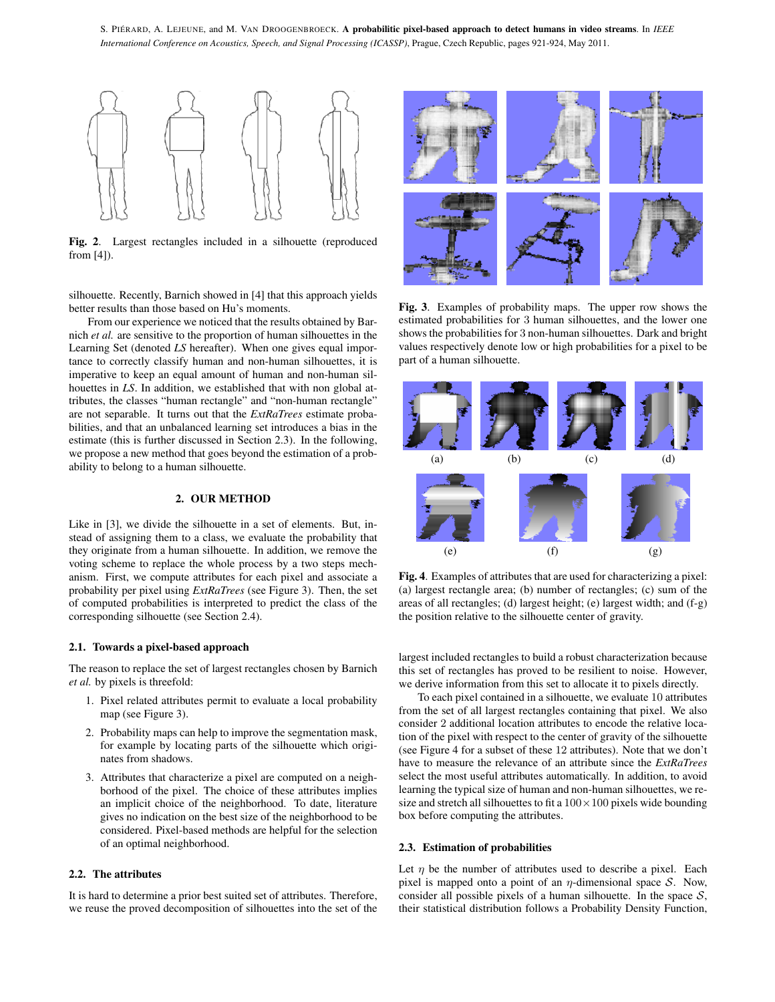

Fig. 2. Largest rectangles included in a silhouette (reproduced from [4]).

silhouette. Recently, Barnich showed in [4] that this approach yields better results than those based on Hu's moments.

From our experience we noticed that the results obtained by Barnich *et al.* are sensitive to the proportion of human silhouettes in the Learning Set (denoted *LS* hereafter). When one gives equal importance to correctly classify human and non-human silhouettes, it is imperative to keep an equal amount of human and non-human silhouettes in *LS*. In addition, we established that with non global attributes, the classes "human rectangle" and "non-human rectangle" are not separable. It turns out that the *ExtRaTrees* estimate probabilities, and that an unbalanced learning set introduces a bias in the estimate (this is further discussed in Section 2.3). In the following, we propose a new method that goes beyond the estimation of a probability to belong to a human silhouette.

# 2. OUR METHOD

Like in [3], we divide the silhouette in a set of elements. But, instead of assigning them to a class, we evaluate the probability that they originate from a human silhouette. In addition, we remove the voting scheme to replace the whole process by a two steps mechanism. First, we compute attributes for each pixel and associate a probability per pixel using *ExtRaTrees* (see Figure 3). Then, the set of computed probabilities is interpreted to predict the class of the corresponding silhouette (see Section 2.4).

#### 2.1. Towards a pixel-based approach

The reason to replace the set of largest rectangles chosen by Barnich *et al.* by pixels is threefold:

- 1. Pixel related attributes permit to evaluate a local probability map (see Figure 3).
- 2. Probability maps can help to improve the segmentation mask, for example by locating parts of the silhouette which originates from shadows.
- 3. Attributes that characterize a pixel are computed on a neighborhood of the pixel. The choice of these attributes implies an implicit choice of the neighborhood. To date, literature gives no indication on the best size of the neighborhood to be considered. Pixel-based methods are helpful for the selection of an optimal neighborhood.

#### 2.2. The attributes

It is hard to determine a prior best suited set of attributes. Therefore, we reuse the proved decomposition of silhouettes into the set of the



Fig. 3. Examples of probability maps. The upper row shows the estimated probabilities for 3 human silhouettes, and the lower one shows the probabilities for 3 non-human silhouettes. Dark and bright values respectively denote low or high probabilities for a pixel to be part of a human silhouette.



Fig. 4. Examples of attributes that are used for characterizing a pixel: (a) largest rectangle area; (b) number of rectangles; (c) sum of the areas of all rectangles; (d) largest height; (e) largest width; and (f-g) the position relative to the silhouette center of gravity.

largest included rectangles to build a robust characterization because this set of rectangles has proved to be resilient to noise. However, we derive information from this set to allocate it to pixels directly.

To each pixel contained in a silhouette, we evaluate 10 attributes from the set of all largest rectangles containing that pixel. We also consider 2 additional location attributes to encode the relative location of the pixel with respect to the center of gravity of the silhouette (see Figure 4 for a subset of these 12 attributes). Note that we don't have to measure the relevance of an attribute since the *ExtRaTrees* select the most useful attributes automatically. In addition, to avoid learning the typical size of human and non-human silhouettes, we resize and stretch all silhouettes to fit a  $100 \times 100$  pixels wide bounding box before computing the attributes.

#### 2.3. Estimation of probabilities

Let  $\eta$  be the number of attributes used to describe a pixel. Each pixel is mapped onto a point of an  $\eta$ -dimensional space S. Now, consider all possible pixels of a human silhouette. In the space  $S$ , their statistical distribution follows a Probability Density Function,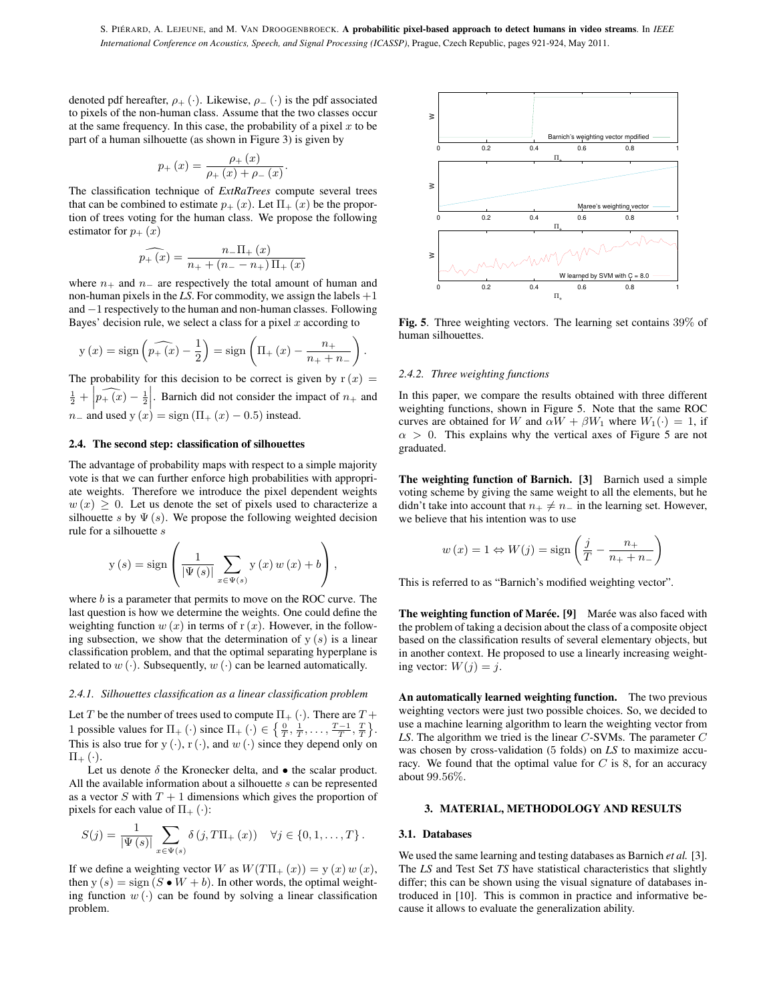denoted pdf hereafter,  $\rho_+$  (·). Likewise,  $\rho_-$  (·) is the pdf associated to pixels of the non-human class. Assume that the two classes occur at the same frequency. In this case, the probability of a pixel  $x$  to be part of a human silhouette (as shown in Figure 3) is given by

$$
p_{+}(x) = \frac{\rho_{+}(x)}{\rho_{+}(x) + \rho_{-}(x)}.
$$

The classification technique of *ExtRaTrees* compute several trees that can be combined to estimate  $p_{+}(x)$ . Let  $\Pi_{+}(x)$  be the proportion of trees voting for the human class. We propose the following estimator for  $p_+(x)$ 

$$
\widehat{p_{+}(x)} = \frac{n_{-}\Pi_{+}(x)}{n_{+} + (n_{-} - n_{+})\Pi_{+}(x)}
$$

where  $n_+$  and  $n_-\$  are respectively the total amount of human and non-human pixels in the *LS*. For commodity, we assign the labels  $+1$ and −1 respectively to the human and non-human classes. Following Bayes' decision rule, we select a class for a pixel  $x$  according to

$$
y(x) = sign\left(\widehat{p_+(x)} - \frac{1}{2}\right) = sign\left(\Pi_+(x) - \frac{n_+}{n_+ + n_-}\right).
$$

The probability for this decision to be correct is given by  $r(x) =$  $\frac{1}{2} + \left| \widehat{p_+(x)} - \frac{1}{2} \right|$ . Barnich did not consider the impact of  $n_+$  and  $n_-$  and used y  $(x) = \text{sign} (\Pi_+(x) - 0.5)$  instead.

# 2.4. The second step: classification of silhouettes

The advantage of probability maps with respect to a simple majority vote is that we can further enforce high probabilities with appropriate weights. Therefore we introduce the pixel dependent weights  $w(x) \geq 0$ . Let us denote the set of pixels used to characterize a silhouette s by  $\Psi(s)$ . We propose the following weighted decision rule for a silhouette s

$$
y(s) = sign \left( \frac{1}{|\Psi(s)|} \sum_{x \in \Psi(s)} y(x) w(x) + b \right),
$$

where  $b$  is a parameter that permits to move on the ROC curve. The last question is how we determine the weights. One could define the weighting function  $w(x)$  in terms of  $r(x)$ . However, in the following subsection, we show that the determination of  $y(s)$  is a linear classification problem, and that the optimal separating hyperplane is related to  $w(\cdot)$ . Subsequently,  $w(\cdot)$  can be learned automatically.

## *2.4.1. Silhouettes classification as a linear classification problem*

Let T be the number of trees used to compute  $\Pi_+(\cdot)$ . There are  $T +$ 1 possible values for  $\Pi_+(\cdot)$  since  $\Pi_+(\cdot) \in \left\{\frac{0}{T}, \frac{1}{T}, \dots, \frac{T-1}{T}, \frac{T}{T}\right\}$ . This is also true for  $y(\cdot)$ ,  $r(\cdot)$ , and  $w(\cdot)$  since they depend only on  $\Pi_+(\cdot).$ 

Let us denote  $\delta$  the Kronecker delta, and  $\bullet$  the scalar product. All the available information about a silhouette  $s$  can be represented as a vector S with  $T + 1$  dimensions which gives the proportion of pixels for each value of  $\Pi_+(\cdot)$ :

$$
S(j) = \frac{1}{|\Psi(s)|} \sum_{x \in \Psi(s)} \delta(j, T\Pi_+(x)) \quad \forall j \in \{0, 1, \dots, T\}.
$$

If we define a weighting vector W as  $W(T\Pi_{+}(x)) = y(x) w(x)$ , then y  $(s) = \text{sign}(S \bullet W + b)$ . In other words, the optimal weighting function  $w(\cdot)$  can be found by solving a linear classification problem.



Fig. 5. Three weighting vectors. The learning set contains 39% of human silhouettes.

#### *2.4.2. Three weighting functions*

In this paper, we compare the results obtained with three different weighting functions, shown in Figure 5. Note that the same ROC curves are obtained for W and  $\alpha W + \beta W_1$  where  $W_1(\cdot) = 1$ , if  $\alpha > 0$ . This explains why the vertical axes of Figure 5 are not graduated.

The weighting function of Barnich. [3] Barnich used a simple voting scheme by giving the same weight to all the elements, but he didn't take into account that  $n_+ \neq n_-$  in the learning set. However, we believe that his intention was to use

$$
w(x) = 1 \Leftrightarrow W(j) = \text{sign}\left(\frac{j}{T} - \frac{n_+}{n_+ + n_-}\right)
$$

This is referred to as "Barnich's modified weighting vector".

The weighting function of Marée. [9] Marée was also faced with the problem of taking a decision about the class of a composite object based on the classification results of several elementary objects, but in another context. He proposed to use a linearly increasing weighting vector:  $W(j) = j$ .

An automatically learned weighting function. The two previous weighting vectors were just two possible choices. So, we decided to use a machine learning algorithm to learn the weighting vector from *LS*. The algorithm we tried is the linear C-SVMs. The parameter C was chosen by cross-validation (5 folds) on *LS* to maximize accuracy. We found that the optimal value for  $C$  is 8, for an accuracy about 99.56%.

### 3. MATERIAL, METHODOLOGY AND RESULTS

## 3.1. Databases

We used the same learning and testing databases as Barnich *et al.* [3]. The *LS* and Test Set *TS* have statistical characteristics that slightly differ; this can be shown using the visual signature of databases introduced in [10]. This is common in practice and informative because it allows to evaluate the generalization ability.